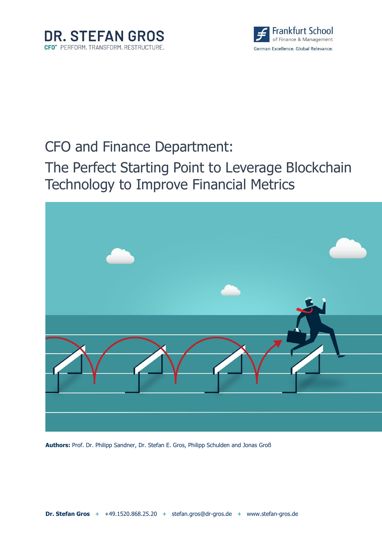



# CFO and Finance Department:

# The Perfect Starting Point to Leverage Blockchain Technology to Improve Financial Metrics



**Authors:** Prof. Dr. Philipp Sandner, Dr. Stefan E. Gros, Philipp Schulden and Jonas Groß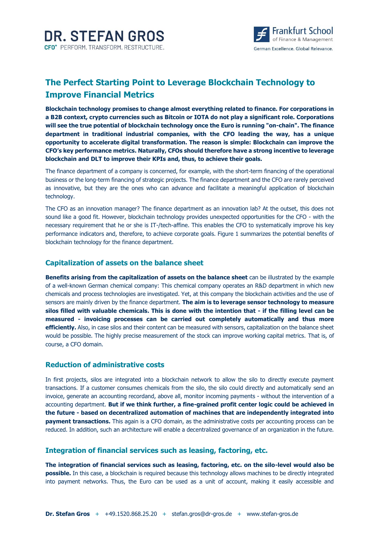

# **The Perfect Starting Point to Leverage Blockchain Technology to Improve Financial Metrics**

**Blockchain technology promises to change almost everything related to finance. For corporations in a B2B context, crypto currencies such as Bitcoin or IOTA do not play a significant role. Corporations will see the true potential of blockchain technology once the Euro is running "on-chain". The finance department in traditional industrial companies, with the CFO leading the way, has a unique opportunity to accelerate digital transformation. The reason is simple: Blockchain can improve the CFO's key performance metrics. Naturally, CFOs should therefore have a strong incentive to leverage blockchain and DLT to improve their KPIs and, thus, to achieve their goals.** 

The finance department of a company is concerned, for example, with the short-term financing of the operational business or the long-term financing of strategic projects. The finance department and the CFO are rarely perceived as innovative, but they are the ones who can advance and facilitate a meaningful application of blockchain technology.

The CFO as an innovation manager? The finance department as an innovation lab? At the outset, this does not sound like a good fit. However, blockchain technology provides unexpected opportunities for the CFO - with the necessary requirement that he or she is IT-/tech-affine. This enables the CFO to systematically improve his key performance indicators and, therefore, to achieve corporate goals. Figure 1 summarizes the potential benefits of blockchain technology for the finance department.

#### **Capitalization of assets on the balance sheet**

**Benefits arising from the capitalization of assets on the balance sheet** can be illustrated by the example of a well-known German chemical company: This chemical company operates an R&D department in which new chemicals and process technologies are investigated. Yet, at this company the blockchain activities and the use of sensors are mainly driven by the finance department. **The aim is to leverage sensor technology to measure silos filled with valuable chemicals. This is done with the intention that - if the filling level can be measured - invoicing processes can be carried out completely automatically and thus more efficiently.** Also, in case silos and their content can be measured with sensors, capitalization on the balance sheet would be possible. The highly precise measurement of the stock can improve working capital metrics. That is, of course, a CFO domain.

#### **Reduction of administrative costs**

In first projects, silos are integrated into a blockchain network to allow the silo to directly execute payment transactions. If a customer consumes chemicals from the silo, the silo could directly and automatically send an invoice, generate an accounting recordand, above all, monitor incoming payments - without the intervention of a accounting department. **But if we think further, a fine-grained profit center logic could be achieved in the future - based on decentralized automation of machines that are independently integrated into payment transactions.** This again is a CFO domain, as the administrative costs per accounting process can be reduced. In addition, such an architecture will enable a decentralized governance of an organization in the future.

#### **Integration of financial services such as leasing, factoring, etc.**

**The integration of financial services such as leasing, factoring, etc. on the silo-level would also be possible.** In this case, a blockchain is required because this technology allows machines to be directly integrated into payment networks. Thus, the Euro can be used as a unit of account, making it easily accessible and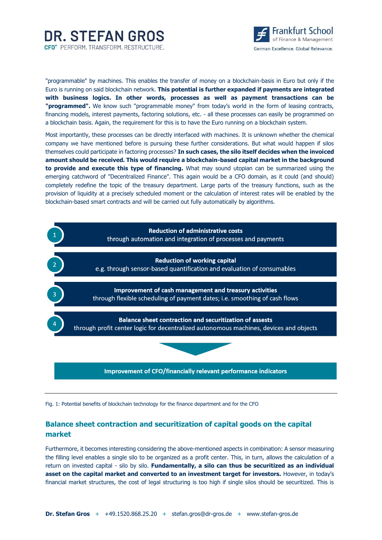



"programmable" by machines. This enables the transfer of money on a blockchain-basis in Euro but only if the Euro is running on said blockchain network. **This potential is further expanded if payments are integrated with business logics. In other words, processes as well as payment transactions can be "programmed".** We know such "programmable money" from today's world in the form of leasing contracts, financing models, interest payments, factoring solutions, etc. - all these processes can easily be programmed on a blockchain basis. Again, the requirement for this is to have the Euro running on a blockchain system.

Most importantly, these processes can be directly interfaced with machines. It is unknown whether the chemical company we have mentioned before is pursuing these further considerations. But what would happen if silos themselves could participate in factoring processes? **In such cases, the silo itself decides when the invoiced amount should be received. This would require a blockchain-based capital market in the background to provide and execute this type of financing.** What may sound utopian can be summarized using the emerging catchword of "Decentralized Finance". This again would be a CFO domain, as it could (and should) completely redefine the topic of the treasury department. Large parts of the treasury functions, such as the provision of liquidity at a precisely scheduled moment or the calculation of interest rates will be enabled by the blockchain-based smart contracts and will be carried out fully automatically by algorithms.



Fig. 1: Potential benefits of blockchain technology for the finance department and for the CFO

## **Balance sheet contraction and securitization of capital goods on the capital market**

Furthermore, it becomes interesting considering the above-mentioned aspects in combination: A sensor measuring the filling level enables a single silo to be organized as a profit center. This, in turn, allows the calculation of a return on invested capital - silo by silo. **Fundamentally, a silo can thus be securitized as an individual asset on the capital market and converted to an investment target for investors.** However, in today's financial market structures, the cost of legal structuring is too high if single silos should be securitized. This is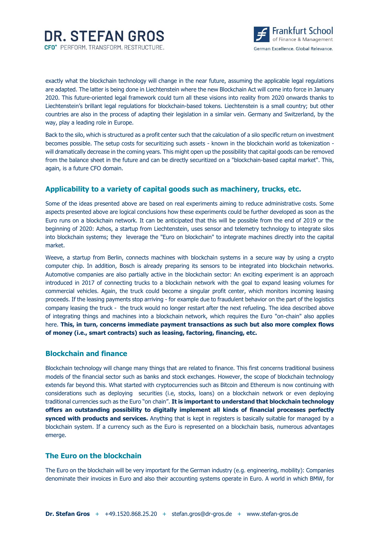

exactly what the blockchain technology will change in the near future, assuming the applicable legal regulations are adapted. The latter is being done in Liechtenstein where the new Blockchain Act will come into force in January 2020. This future-oriented legal framework could turn all these visions into reality from 2020 onwards thanks to Liechtenstein's brillant legal regulations for blockchain-based tokens. Liechtenstein is a small country; but other countries are also in the process of adapting their legislation in a similar vein. Germany and Switzerland, by the way, play a leading role in Europe.

Back to the silo, which is structured as a profit center such that the calculation of a silo specific return on investment becomes possible. The setup costs for securitizing such assets - known in the blockchain world as tokenization will dramatically decrease in the coming years. This might open up the possibility that capital goods can be removed from the balance sheet in the future and can be directly securitized on a "blockchain-based capital market". This, again, is a future CFO domain.

### **Applicability to a variety of capital goods such as machinery, trucks, etc.**

Some of the ideas presented above are based on real experiments aiming to reduce administrative costs. Some aspects presented above are logical conclusions how these experiments could be further developed as soon as the Euro runs on a blockchain network. It can be anticipated that this will be possible from the end of 2019 or the beginning of 2020: Azhos, a startup from Liechtenstein, uses sensor and telemetry technology to integrate silos into blockchain systems; they leverage the "Euro on blockchain" to integrate machines directly into the capital market.

Weeve, a startup from Berlin, connects machines with blockchain systems in a secure way by using a crypto computer chip. In addition, Bosch is already preparing its sensors to be integrated into blockchain networks. Automotive companies are also partially active in the blockchain sector: An exciting experiment is an approach introduced in 2017 of connecting trucks to a blockchain network with the goal to expand leasing volumes for commercial vehicles. Again, the truck could become a singular profit center, which monitors incoming leasing proceeds. If the leasing payments stop arriving - for example due to fraudulent behavior on the part of the logistics company leasing the truck - the truck would no longer restart after the next refueling. The idea described above of integrating things and machines into a blockchain network, which requires the Euro "on-chain" also applies here. **This, in turn, concerns immediate payment transactions as such but also more complex flows of money (i.e., smart contracts) such as leasing, factoring, financing, etc.**

#### **Blockchain and finance**

Blockchain technology will change many things that are related to finance. This first concerns traditional business models of the financial sector such as banks and stock exchanges. However, the scope of blockchain technology extends far beyond this. What started with cryptocurrencies such as Bitcoin and Ethereum is now continuing with considerations such as deploying securities (i.e, stocks, loans) on a blockchain network or even deploying traditional currencies such as the Euro "on chain". **It is important to understand that blockchain technology offers an outstanding possibility to digitally implement all kinds of financial processes perfectly synced with products and services.** Anything that is kept in registers is basically suitable for managed by a blockchain system. If a currency such as the Euro is represented on a blockchain basis, numerous advantages emerge.

#### **The Euro on the blockchain**

The Euro on the blockchain will be very important for the German industry (e.g. engineering, mobility): Companies denominate their invoices in Euro and also their accounting systems operate in Euro. A world in which BMW, for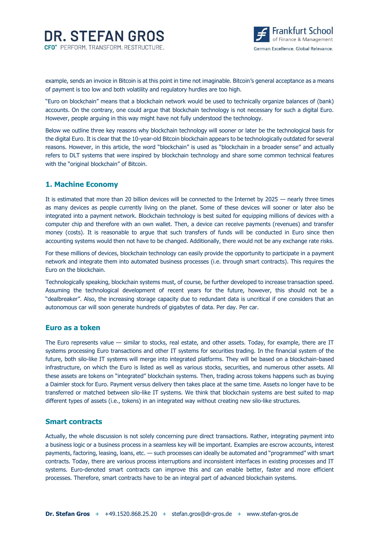

example, sends an invoice in Bitcoin is at this point in time not imaginable. Bitcoin's general acceptance as a means of payment is too low and both volatility and regulatory hurdles are too high.

"Euro on blockchain" means that a blockchain network would be used to technically organize balances of (bank) accounts. On the contrary, one could argue that blockchain technology is not necessary for such a digital Euro. However, people arguing in this way might have not fully understood the technology.

Below we outline three key reasons why blockchain technology will sooner or later be the technological basis for the digital Euro. It is clear that the 10-year-old Bitcoin blockchain appears to be technologically outdated for several reasons. However, in this article, the word "blockchain" is used as "blockchain in a broader sense" and actually refers to DLT systems that were inspired by blockchain technology and share some common technical features with the "original blockchain" of Bitcoin.

### **1. Machine Economy**

It is estimated that more than 20 billion devices will be connected to the Internet by 2025 — nearly three times as many devices as people currently living on the planet. Some of these devices will sooner or later also be integrated into a payment network. Blockchain technology is best suited for equipping millions of devices with a computer chip and therefore with an own wallet. Then, a device can receive payments (revenues) and transfer money (costs). It is reasonable to argue that such transfers of funds will be conducted in Euro since then accounting systems would then not have to be changed. Additionally, there would not be any exchange rate risks.

For these millions of devices, blockchain technology can easily provide the opportunity to participate in a payment network and integrate them into automated business processes (i.e. through smart contracts). This requires the Euro on the blockchain.

Technologically speaking, blockchain systems must, of course, be further developed to increase transaction speed. Assuming the technological development of recent years for the future, however, this should not be a "dealbreaker". Also, the increasing storage capacity due to redundant data is uncritical if one considers that an autonomous car will soon generate hundreds of gigabytes of data. Per day. Per car.

#### **Euro as a token**

The Euro represents value — similar to stocks, real estate, and other assets. Today, for example, there are IT systems processing Euro transactions and other IT systems for securities trading. In the financial system of the future, both silo-like IT systems will merge into integrated platforms. They will be based on a blockchain-based infrastructure, on which the Euro is listed as well as various stocks, securities, and numerous other assets. All these assets are tokens on "integrated" blockchain systems. Then, trading across tokens happens such as buying a Daimler stock for Euro. Payment versus delivery then takes place at the same time. Assets no longer have to be transferred or matched between silo-like IT systems. We think that blockchain systems are best suited to map different types of assets (i.e., tokens) in an integrated way without creating new silo-like structures.

#### **Smart contracts**

Actually, the whole discussion is not solely concerning pure direct transactions. Rather, integrating payment into a business logic or a business process in a seamless key will be important. Examples are escrow accounts, interest payments, factoring, leasing, loans, etc. — such processes can ideally be automated and "programmed" with smart contracts. Today, there are various process interruptions and inconsistent interfaces in existing processes and IT systems. Euro-denoted smart contracts can improve this and can enable better, faster and more efficient processes. Therefore, smart contracts have to be an integral part of advanced blockchain systems.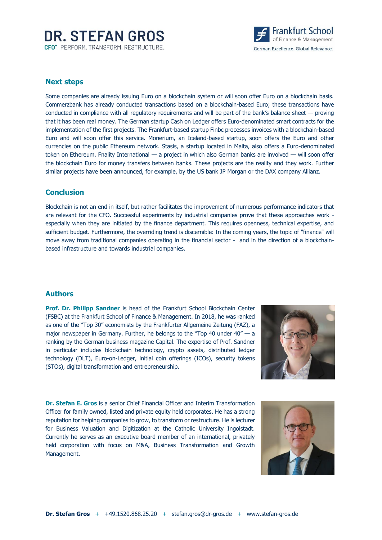# **DR. STEFAN GROS** CFO<sup>+</sup> PERFORM, TRANSFORM, RESTRUCTURE.



#### **Next steps**

Some companies are already issuing Euro on a blockchain system or will soon offer Euro on a blockchain basis. Commerzbank has already conducted transactions based on a blockchain-based Euro; these transactions have conducted in compliance with all regulatory requirements and will be part of the bank's balance sheet — proving that it has been real money. The German startup Cash on Ledger offers Euro-denominated smart contracts for the implementation of the first projects. The Frankfurt-based startup Finbc processes invoices with a blockchain-based Euro and will soon offer this service. Monerium, an Iceland-based startup, soon offers the Euro and other currencies on the public Ethereum network. Stasis, a startup located in Malta, also offers a Euro-denominated token on Ethereum. Fnality International — a project in which also German banks are involved — will soon offer the blockchain Euro for money transfers between banks. These projects are the reality and they work. Further similar projects have been announced, for example, by the US bank JP Morgan or the DAX company Allianz.

#### **Conclusion**

Blockchain is not an end in itself, but rather facilitates the improvement of numerous performance indicators that are relevant for the CFO. Successful experiments by industrial companies prove that these approaches work especially when they are initiated by the finance department. This requires openness, technical expertise, and sufficient budget. Furthermore, the overriding trend is discernible: In the coming years, the topic of "finance" will move away from traditional companies operating in the financial sector - and in the direction of a blockchainbased infrastructure and towards industrial companies.

#### **Authors**

**Prof. Dr. Philipp Sandner** is head of the Frankfurt School Blockchain Center (FSBC) at the Frankfurt School of Finance & Management. In 2018, he was ranked as one of the "Top 30" economists by the Frankfurter Allgemeine Zeitung (FAZ), a major newspaper in Germany. Further, he belongs to the "Top 40 under 40" - a ranking by the German business magazine Capital. The expertise of Prof. Sandner in particular includes blockchain technology, crypto assets, distributed ledger technology (DLT), Euro-on-Ledger, initial coin offerings (ICOs), security tokens (STOs), digital transformation and entrepreneurship.



**Dr. Stefan E. Gros** is a senior Chief Financial Officer and Interim Transformation Officer for family owned, listed and private equity held corporates. He has a strong reputation for helping companies to grow, to transform or restructure. He is lecturer for Business Valuation and Digitization at the Catholic University Ingolstadt. Currently he serves as an executive board member of an international, privately held corporation with focus on M&A, Business Transformation and Growth Management.